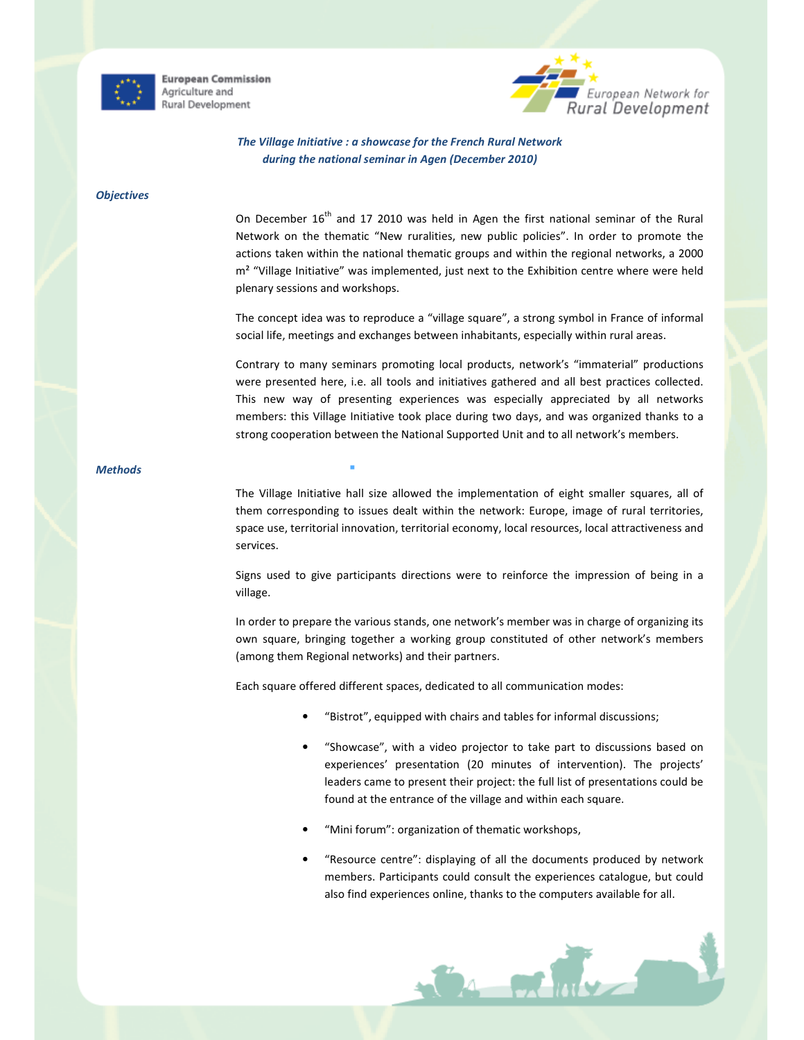

**European Commission** Agriculture and Rural Development



# The Village Initiative : a showcase for the French Rural Network during the national seminar in Agen (December 2010)

#### **Objectives**

On December  $16<sup>th</sup>$  and 17 2010 was held in Agen the first national seminar of the Rural Network on the thematic "New ruralities, new public policies". In order to promote the actions taken within the national thematic groups and within the regional networks, a 2000 m² "Village Initiative" was implemented, just next to the Exhibition centre where were held plenary sessions and workshops.

The concept idea was to reproduce a "village square", a strong symbol in France of informal social life, meetings and exchanges between inhabitants, especially within rural areas.

Contrary to many seminars promoting local products, network's "immaterial" productions were presented here, i.e. all tools and initiatives gathered and all best practices collected. This new way of presenting experiences was especially appreciated by all networks members: this Village Initiative took place during two days, and was organized thanks to a strong cooperation between the National Supported Unit and to all network's members.

## **Methods**

The Village Initiative hall size allowed the implementation of eight smaller squares, all of them corresponding to issues dealt within the network: Europe, image of rural territories, space use, territorial innovation, territorial economy, local resources, local attractiveness and services.

Signs used to give participants directions were to reinforce the impression of being in a village.

In order to prepare the various stands, one network's member was in charge of organizing its own square, bringing together a working group constituted of other network's members (among them Regional networks) and their partners.

Each square offered different spaces, dedicated to all communication modes:

- "Bistrot", equipped with chairs and tables for informal discussions;
- "Showcase", with a video projector to take part to discussions based on experiences' presentation (20 minutes of intervention). The projects' leaders came to present their project: the full list of presentations could be found at the entrance of the village and within each square.
- "Mini forum": organization of thematic workshops,
- "Resource centre": displaying of all the documents produced by network members. Participants could consult the experiences catalogue, but could also find experiences online, thanks to the computers available for all.

**CARLINGER**